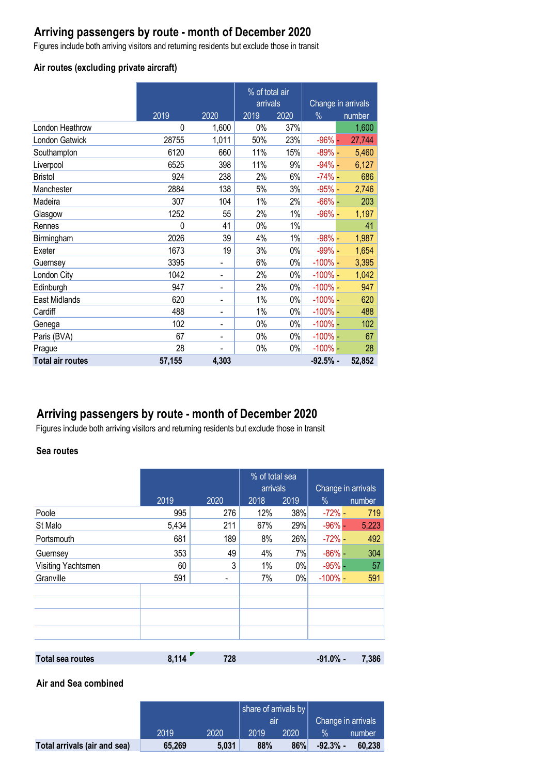# **Arriving passengers by route - month of December 2020**

Figures include both arriving visitors and returning residents but exclude those in transit

## **Air routes (excluding private aircraft)**

|                         |        |                              | % of total air |       |               |                    |
|-------------------------|--------|------------------------------|----------------|-------|---------------|--------------------|
|                         |        |                              | arrivals       |       |               | Change in arrivals |
|                         | 2019   | 2020                         | 2019           | 2020  | $\frac{0}{0}$ | number             |
| London Heathrow         | 0      | 1,600                        | 0%             | 37%   |               | 1,600              |
| London Gatwick          | 28755  | 1,011                        | 50%            | 23%   | $-96% -$      | 27,744             |
| Southampton             | 6120   | 660                          | 11%            | 15%   | $-89% -$      | 5,460              |
| Liverpool               | 6525   | 398                          | 11%            | 9%    | $-94% -$      | 6,127              |
| <b>Bristol</b>          | 924    | 238                          | 2%             | 6%    | $-74%$ -      | 686                |
| Manchester              | 2884   | 138                          | 5%             | 3%    | $-95%$ -      | 2,746              |
| Madeira                 | 307    | 104                          | $1\%$          | 2%    | $-66%$ -      | 203                |
| Glasgow                 | 1252   | 55                           | 2%             | $1\%$ | $-96%$ -      | 1,197              |
| Rennes                  | 0      | 41                           | 0%             | 1%    |               | 41                 |
| Birmingham              | 2026   | 39                           | 4%             | $1\%$ | $-98%$ -      | 1,987              |
| Exeter                  | 1673   | 19                           | 3%             | 0%    | $-99% -$      | 1,654              |
| Guernsey                | 3395   | $\overline{\phantom{a}}$     | 6%             | $0\%$ | $-100\%$      | 3,395              |
| London City             | 1042   | $\overline{\phantom{a}}$     | 2%             | $0\%$ | $-100\%$ –    | 1,042              |
| Edinburgh               | 947    | $\overline{\phantom{a}}$     | 2%             | $0\%$ | $-100\%$ -    | 947                |
| East Midlands           | 620    | $\qquad \qquad \blacksquare$ | $1\%$          | $0\%$ | $-100\%$ -    | 620                |
| Cardiff                 | 488    | $\overline{\phantom{a}}$     | 1%             | 0%    | $-100\%$ -    | 488                |
| Genega                  | 102    | $\overline{\phantom{a}}$     | 0%             | $0\%$ | $-100\%$ -    | 102                |
| Paris (BVA)             | 67     | $\overline{\phantom{a}}$     | $0\%$          | 0%    | $-100\%$ -    | 67                 |
| Prague                  | 28     |                              | 0%             | $0\%$ | $-100\%$ -    | 28                 |
| <b>Total air routes</b> | 57,155 | 4,303                        |                |       | $-92.5%$ -    | 52,852             |

# **Arriving passengers by route - month of December 2020**

Figures include both arriving visitors and returning residents but exclude those in transit

## **Sea routes**

|                         |       |      |      | % of total sea<br>arrivals |             | Change in arrivals |  |
|-------------------------|-------|------|------|----------------------------|-------------|--------------------|--|
|                         | 2019  | 2020 | 2018 | 2019                       | $\%$        | number             |  |
| Poole                   | 995   | 276  | 12%  | 38%                        | $-72% -$    | 719                |  |
| St Malo                 | 5,434 | 211  | 67%  | 29%                        | $-96%$ $-$  | 5,223              |  |
| Portsmouth              | 681   | 189  | 8%   | 26%                        | $-72% -$    | 492                |  |
| Guernsey                | 353   | 49   | 4%   | 7%                         | $-86\%$ -   | 304                |  |
| Visiting Yachtsmen      | 60    | 3    | 1%   | $0\%$                      | $-95%$ -    | 57                 |  |
| Granville               | 591   |      | 7%   | $0\%$                      | $-100\%$    | 591                |  |
|                         |       |      |      |                            |             |                    |  |
|                         |       |      |      |                            |             |                    |  |
|                         |       |      |      |                            |             |                    |  |
|                         |       |      |      |                            |             |                    |  |
|                         |       |      |      |                            |             |                    |  |
| <b>Total sea routes</b> | 8,114 | 728  |      |                            | $-91.0\%$ - | 7,386              |  |

#### **Air and Sea combined**

|                              |        |       | share of arrivals by $\vert$<br>air |      |                    |        |
|------------------------------|--------|-------|-------------------------------------|------|--------------------|--------|
|                              |        |       |                                     |      | Change in arrivals |        |
|                              | 2019   | 2020  | 2019                                | 2020 |                    | number |
| Total arrivals (air and sea) | 65,269 | 5.031 | 88%                                 | 86%  | $-92.3%$ -         | 60.238 |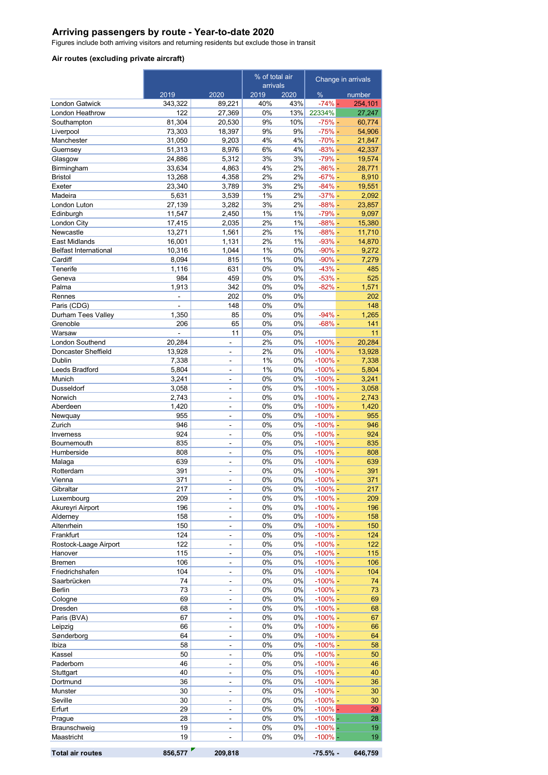### **Arriving passengers by route - Year-to-date 2020**

Figures include both arriving visitors and returning residents but exclude those in transit

#### **Air routes (excluding private aircraft)**

|                                |                  |                                | % of total air           |          | Change in arrivals       |                   |
|--------------------------------|------------------|--------------------------------|--------------------------|----------|--------------------------|-------------------|
|                                |                  | 2020                           | arrivals<br>2019<br>2020 |          | %                        |                   |
| <b>London Gatwick</b>          | 2019<br>343,322  | 89,221                         | 40%                      | 43%      | $-74%$ -                 | number<br>254,101 |
| London Heathrow                | 122              | 27,369                         | 0%                       | 13%      | 22334%                   | 27,247            |
| Southampton                    | 81,304           | 20,530                         | 9%                       | 10%      | $-75% -$                 | 60,774            |
| Liverpool                      | 73,303           | 18,397                         | 9%                       | 9%       | $-75% -$                 | 54,906            |
| Manchester                     | 31,050           | 9,203                          | 4%                       | 4%       | $-70% -$                 | 21,847            |
| Guernsey                       | 51,313           | 8,976                          | 6%                       | 4%       | $-83%$ -                 | 42,337            |
| Glasgow                        | 24,886           | 5,312                          | 3%                       | 3%       | $-79% -$                 | 19,574            |
| Birmingham                     | 33,634           | 4,863                          | 4%                       | 2%       | $-86% -$                 | 28,771            |
| <b>Bristol</b>                 | 13,268<br>23,340 | 4,358<br>3,789                 | 2%<br>3%                 | 2%<br>2% | $-67% -$<br>$-84%$ -     | 8,910             |
| Exeter<br>Madeira              | 5,631            | 3,539                          | 1%                       | 2%       | $-37% -$                 | 19,551<br>2,092   |
| London Luton                   | 27,139           | 3,282                          | 3%                       | 2%       | $-88% -$                 | 23,857            |
| Edinburgh                      | 11,547           | 2,450                          | 1%                       | 1%       | $-79% -$                 | 9,097             |
| London City                    | 17,415           | 2,035                          | 2%                       | 1%       | $-88% -$                 | 15,380            |
| Newcastle                      | 13,271           | 1,561                          | 2%                       | 1%       | $-88%$ -                 | 11,710            |
| East Midlands                  | 16,001           | 1,131                          | 2%                       | 1%       | $-93%$ -                 | 14,870            |
| <b>Belfast International</b>   | 10,316           | 1,044                          | 1%                       | 0%       | $-90\%$ -                | 9,272             |
| Cardiff                        | 8,094            | 815                            | 1%                       | 0%       | $-90\%$ -                | 7,279             |
| Tenerife                       | 1,116            | 631                            | 0%                       | 0%       | $-43%$ -                 | 485               |
| Geneva                         | 984              | 459                            | 0%                       | 0%       | $-53% -$                 | 525               |
| Palma<br>Rennes                | 1,913<br>ä,      | 342<br>202                     | 0%<br>0%                 | 0%<br>0% | $-82%$ -                 | 1,571<br>202      |
| Paris (CDG)                    | ÷,               | 148                            | 0%                       | 0%       |                          | 148               |
| Durham Tees Valley             | 1,350            | 85                             | 0%                       | 0%       | $-94% -$                 | 1,265             |
| Grenoble                       | 206              | 65                             | 0%                       | 0%       | $-68%$ -                 | 141               |
| Warsaw                         |                  | 11                             | 0%                       | 0%       |                          | 11                |
| London Southend                | 20,284           | ä,                             | 2%                       | 0%       | $-100\%$ -               | 20,284            |
| Doncaster Sheffield            | 13,928           | ÷,                             | 2%                       | 0%       | $-100%$ -                | 13,928            |
| Dublin                         | 7,338            | ÷,                             | 1%                       | 0%       | $-100% -$                | 7,338             |
| Leeds Bradford                 | 5,804            | ä,                             | 1%                       | $0\%$    | $-100%$ -                | 5,804             |
| Munich                         | 3,241            | L.                             | 0%                       | 0%       | $-100\%$ -               | 3,241             |
| Dusseldorf                     | 3,058            | ÷,                             | 0%                       | 0%       | $-100\%$ -               | 3,058             |
| Norwich                        | 2,743<br>1,420   | $\overline{\phantom{a}}$<br>÷, | 0%<br>0%                 | 0%<br>0% | $-100\%$ -<br>$-100\%$ - | 2,743<br>1,420    |
| Aberdeen<br>Newquay            | 955              | ÷,                             | 0%                       | 0%       | $-100\%$ -               | 955               |
| Zurich                         | 946              | $\blacksquare$                 | 0%                       | 0%       | $-100\%$ -               | 946               |
| Inverness                      | 924              | ä,                             | 0%                       | 0%       | $-100\%$ -               | 924               |
| <b>Bournemouth</b>             | 835              | $\overline{\phantom{0}}$       | 0%                       | 0%       | $-100\%$ -               | 835               |
| Humberside                     | 808              | $\overline{\phantom{a}}$       | 0%                       | 0%       | $-100\%$ -               | 808               |
| Malaga                         | 639              | ÷,                             | 0%                       | 0%       | $-100%$ -                | 639               |
| Rotterdam                      | 391              | -                              | 0%                       | 0%       | $-100\%$ -               | 391               |
| Vienna                         | 371              | L,                             | 0%                       | 0%       | $-100\%$ -               | 371               |
| Gibraltar                      | 217              | ä,                             | 0%                       | 0%       | $-100%$ –                | 217               |
| Luxembourg<br>Akureyri Airport | 209<br>196       | ÷,<br>٠                        | 0%<br>$0\%$              | 0%<br>0% | $-100\%$ -<br>$-100%$ –  | 209<br>196        |
| Alderney                       | 158              | ä,                             | 0%                       | 0%       | $-100%$ -                | 158               |
| Altenrhein                     | 150              | ÷,                             | 0%                       | 0%       | $-100\%$ -               | 150               |
| Frankfurt                      | 124              | ÷                              | 0%                       | 0%       | $-100%$ -                | 124               |
| Rostock-Laage Airport          | 122              | ÷,                             | 0%                       | 0%       | $-100%$ -                | 122               |
| Hanover                        | 115              | ÷,                             | 0%                       | 0%       | $-100\%$ -               | 115               |
| Bremen                         | 106              | ÷                              | $0\%$                    | 0%       | $-100\%$ -               | 106               |
| Friedrichshafen                | 104              | ÷,                             | $0\%$                    | 0%       | $-100%$ -                | 104               |
| Saarbrücken                    | 74               | ÷,                             | 0%                       | 0%       | $-100%$ -                | 74                |
| Berlin                         | 73<br>69         | ÷                              | $0\%$<br>0%              | 0%<br>0% | $-100\%$ -<br>$-100%$ -  | 73                |
| Cologne<br>Dresden             | 68               | ÷,<br>÷,                       | $0\%$                    | 0%       | $-100\%$ -               | 69<br>68          |
| Paris (BVA)                    | 67               | ÷                              | $0\%$                    | 0%       | $-100\%$ -               | 67                |
| Leipzig                        | 66               | ÷,                             | 0%                       | 0%       | $-100%$ -                | 66                |
| Sønderborg                     | 64               | $\blacksquare$                 | $0\%$                    | 0%       | $-100% -$                | 64                |
| Ibiza                          | 58               | ÷,                             | 0%                       | $0\%$    | $-100%$ -                | 58                |
| Kassel                         | 50               | ÷,                             | 0%                       | 0%       | $-100\%$ -               | 50                |
| Paderborn                      | 46               | -                              | 0%                       | 0%       | $-100\%$ -               | 46                |
| Stuttgart                      | 40               | ÷,                             | 0%                       | 0%       | $-100\%$ -               | 40                |
| Dortmund                       | 36               | ÷,                             | 0%                       | 0%       | $-100\%$ -               | 36                |
| Munster                        | 30               | ÷,                             | 0%                       | 0%       | $-100\%$ -               | 30                |
| Seville                        | 30               | ÷,                             | 0%                       | 0%       | $-100\%$ -               | 30                |
| Erfurt                         | 29<br>28         | ÷,                             | 0%<br>0%                 | 0%<br>0% | $-100\%$ –<br>$-100%$    | 29                |
| Prague<br>Braunschweig         | 19               | ÷,<br>÷,                       | 0%                       | 0%       | $-100%$                  | 28<br>19          |
| Maastricht                     | 19               | ÷,                             | $0\%$                    | 0%       | $-100\%$ –               | 19                |
|                                |                  |                                |                          |          |                          |                   |

```
Total air routes 856,577 209,818 -75.5% - 646,759
```